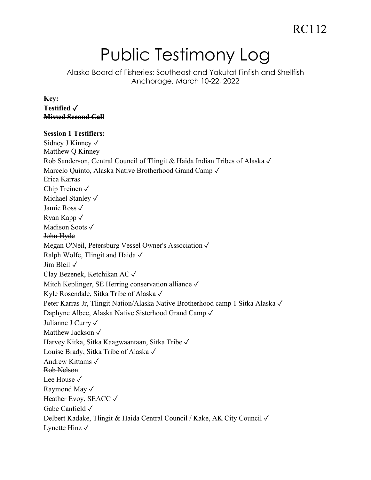# Public Testimony Log

Alaska Board of Fisheries: Southeast and Yakutat Finfish and Shellfish Anchorage, March 10-22, 2022

**Key: Testified** ✓ **Missed Second Call**

### **Session 1 Testifiers:** Sidney J Kinney ✓ Matthew Q Kinney Rob Sanderson, Central Council of Tlingit & Haida Indian Tribes of Alaska ✓ Marcelo Quinto, Alaska Native Brotherhood Grand Camp ✓ Erica Karras Chip Treinen ✓ Michael Stanley ✓ Jamie Ross ✓ Ryan Kapp ✓ Madison Soots √ John Hyde Megan O'Neil, Petersburg Vessel Owner's Association ✓ Ralph Wolfe, Tlingit and Haida ✓ Jim Bleil ✓ Clay Bezenek, Ketchikan AC ✓ Mitch Keplinger, SE Herring conservation alliance √ Kyle Rosendale, Sitka Tribe of Alaska ✓ Peter Karras Jr, Tlingit Nation/Alaska Native Brotherhood camp 1 Sitka Alaska ✓ Daphyne Albee, Alaska Native Sisterhood Grand Camp ✓ Julianne J Curry ✓ Matthew Jackson ✓ Harvey Kitka, Sitka Kaagwaantaan, Sitka Tribe ✓ Louise Brady, Sitka Tribe of Alaska ✓ Andrew Kittams ✓ Rob Nelson Lee House ✓ Raymond May ✓ Heather Evoy, SEACC √ Gabe Canfield ✓ Delbert Kadake, Tlingit & Haida Central Council / Kake, AK City Council ✓ Lynette Hinz  $\sqrt{}$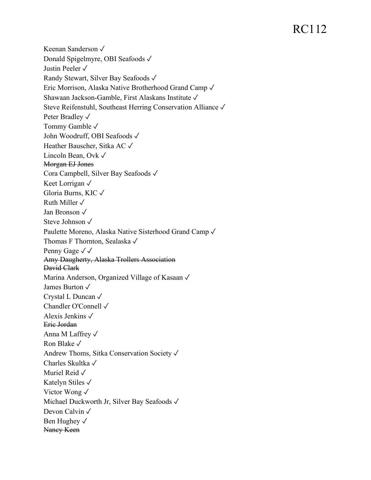Keenan Sanderson ✓ Donald Spigelmyre, OBI Seafoods ✓ Justin Peeler ✓ Randy Stewart, Silver Bay Seafoods ✓ Eric Morrison, Alaska Native Brotherhood Grand Camp ✓ Shawaan Jackson-Gamble, First Alaskans Institute ✓ Steve Reifenstuhl, Southeast Herring Conservation Alliance ✓ Peter Bradley √ Tommy Gamble ✓ John Woodruff, OBI Seafoods ✓ Heather Bauscher, Sitka AC ✓ Lincoln Bean, Ovk ✓ Morgan EJ Jones Cora Campbell, Silver Bay Seafoods ✓ Keet Lorrigan ✓ Gloria Burns, KIC ✓ Ruth Miller  $\sqrt{}$ Jan Bronson ✓ Steve Johnson ✓ Paulette Moreno, Alaska Native Sisterhood Grand Camp ✓ Thomas F Thornton, Sealaska ✓ Penny Gage √ √ Amy Daugherty, Alaska Trollers Association David Clark Marina Anderson, Organized Village of Kasaan √ James Burton ✓ Crystal L Duncan ✓ Chandler O'Connell ✓ Alexis Jenkins ✓ Eric Jordan Anna M Laffrey ✓ Ron Blake ✓ Andrew Thoms, Sitka Conservation Society ✓ Charles Skultka ✓ Muriel Reid ✓ Katelyn Stiles ✓ Victor Wong ✓ Michael Duckworth Jr, Silver Bay Seafoods ✓ Devon Calvin √ Ben Hughey √ Nancy Keen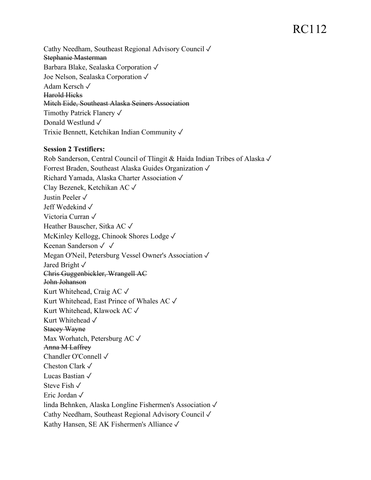Cathy Needham, Southeast Regional Advisory Council ✓ Stephanie Masterman Barbara Blake, Sealaska Corporation ✓ Joe Nelson, Sealaska Corporation ✓ Adam Kersch ✓ Harold Hicks Mitch Eide, Southeast Alaska Seiners Association Timothy Patrick Flanery ✓ Donald Westlund ✓ Trixie Bennett, Ketchikan Indian Community ✓

#### **Session 2 Testifiers:**

Rob Sanderson, Central Council of Tlingit & Haida Indian Tribes of Alaska ✓ Forrest Braden, Southeast Alaska Guides Organization ✓ Richard Yamada, Alaska Charter Association ✓ Clay Bezenek, Ketchikan AC ✓ Justin Peeler ✓ Jeff Wedekind ✓ Victoria Curran ✓ Heather Bauscher, Sitka AC ✓ McKinley Kellogg, Chinook Shores Lodge ✓ Keenan Sanderson ✓ ✓ Megan O'Neil, Petersburg Vessel Owner's Association ✓ Jared Bright ✓ Chris Guggenbickler, Wrangell AC John Johanson Kurt Whitehead, Craig AC ✓ Kurt Whitehead, East Prince of Whales AC ✓ Kurt Whitehead, Klawock AC ✓ Kurt Whitehead √ Stacey Wayne Max Worhatch, Petersburg AC ✓ Anna M Laffrey Chandler O'Connell ✓ Cheston Clark ✓ Lucas Bastian ✓ Steve Fish ✓ Eric Jordan ✓ linda Behnken, Alaska Longline Fishermen's Association ✓ Cathy Needham, Southeast Regional Advisory Council ✓ Kathy Hansen, SE AK Fishermen's Alliance ✓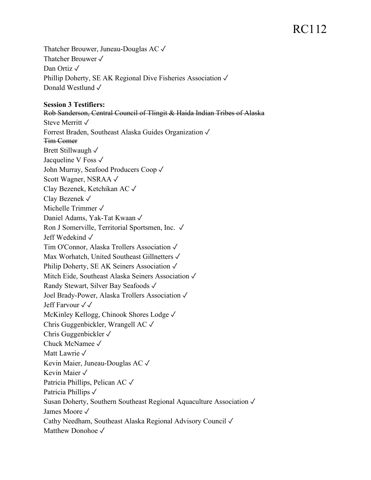Thatcher Brouwer, Juneau-Douglas AC ✓ Thatcher Brouwer ✓ Dan Ortiz √ Phillip Doherty, SE AK Regional Dive Fisheries Association √ Donald Westlund ✓

#### **Session 3 Testifiers:**

Rob Sanderson, Central Council of Tlingit & Haida Indian Tribes of Alaska Steve Merritt ✓ Forrest Braden, Southeast Alaska Guides Organization ✓ Tim Comer Brett Stillwaugh √ Jacqueline V Foss ✓ John Murray, Seafood Producers Coop ✓ Scott Wagner, NSRAA ✓ Clay Bezenek, Ketchikan AC ✓ Clay Bezenek ✓ Michelle Trimmer ✓ Daniel Adams, Yak-Tat Kwaan ✓ Ron J Somerville, Territorial Sportsmen, Inc. ✓ Jeff Wedekind ✓ Tim O'Connor, Alaska Trollers Association ✓ Max Worhatch, United Southeast Gillnetters ✓ Philip Doherty, SE AK Seiners Association √ Mitch Eide, Southeast Alaska Seiners Association ✓ Randy Stewart, Silver Bay Seafoods ✓ Joel Brady-Power, Alaska Trollers Association ✓ Jeff Farvour ✓✓ McKinley Kellogg, Chinook Shores Lodge ✓ Chris Guggenbickler, Wrangell AC ✓ Chris Guggenbickler ✓ Chuck McNamee ✓ Matt Lawrie √ Kevin Maier, Juneau-Douglas AC ✓ Kevin Maier ✓ Patricia Phillips, Pelican AC ✓ Patricia Phillips √ Susan Doherty, Southern Southeast Regional Aquaculture Association ✓ James Moore ✓ Cathy Needham, Southeast Alaska Regional Advisory Council ✓ Matthew Donohoe ✓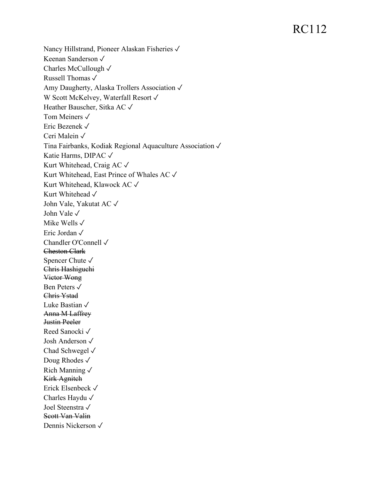Nancy Hillstrand, Pioneer Alaskan Fisheries √ Keenan Sanderson ✓ Charles McCullough ✓ Russell Thomas ✓ Amy Daugherty, Alaska Trollers Association ✓ W Scott McKelvey, Waterfall Resort √ Heather Bauscher, Sitka AC ✓ Tom Meiners √ Eric Bezenek ✓ Ceri Malein ✓ Tina Fairbanks, Kodiak Regional Aquaculture Association ✓ Katie Harms, DIPAC ✓ Kurt Whitehead, Craig AC ✓ Kurt Whitehead, East Prince of Whales AC ✓ Kurt Whitehead, Klawock AC ✓ Kurt Whitehead √ John Vale, Yakutat AC ✓ John Vale ✓ Mike Wells ✓ Eric Jordan ✓ Chandler O'Connell ✓ Cheston Clark Spencer Chute ✓ Chris Hashiguchi Victor Wong Ben Peters ✓ Chris Ystad Luke Bastian ✓ Anna M Laffrey Justin Peeler Reed Sanocki ✓ Josh Anderson ✓ Chad Schwegel ✓ Doug Rhodes √ Rich Manning ✓ Kirk Agnitch Erick Elsenbeck ✓ Charles Haydu ✓ Joel Steenstra ✓ Scott Van Valin Dennis Nickerson ✓